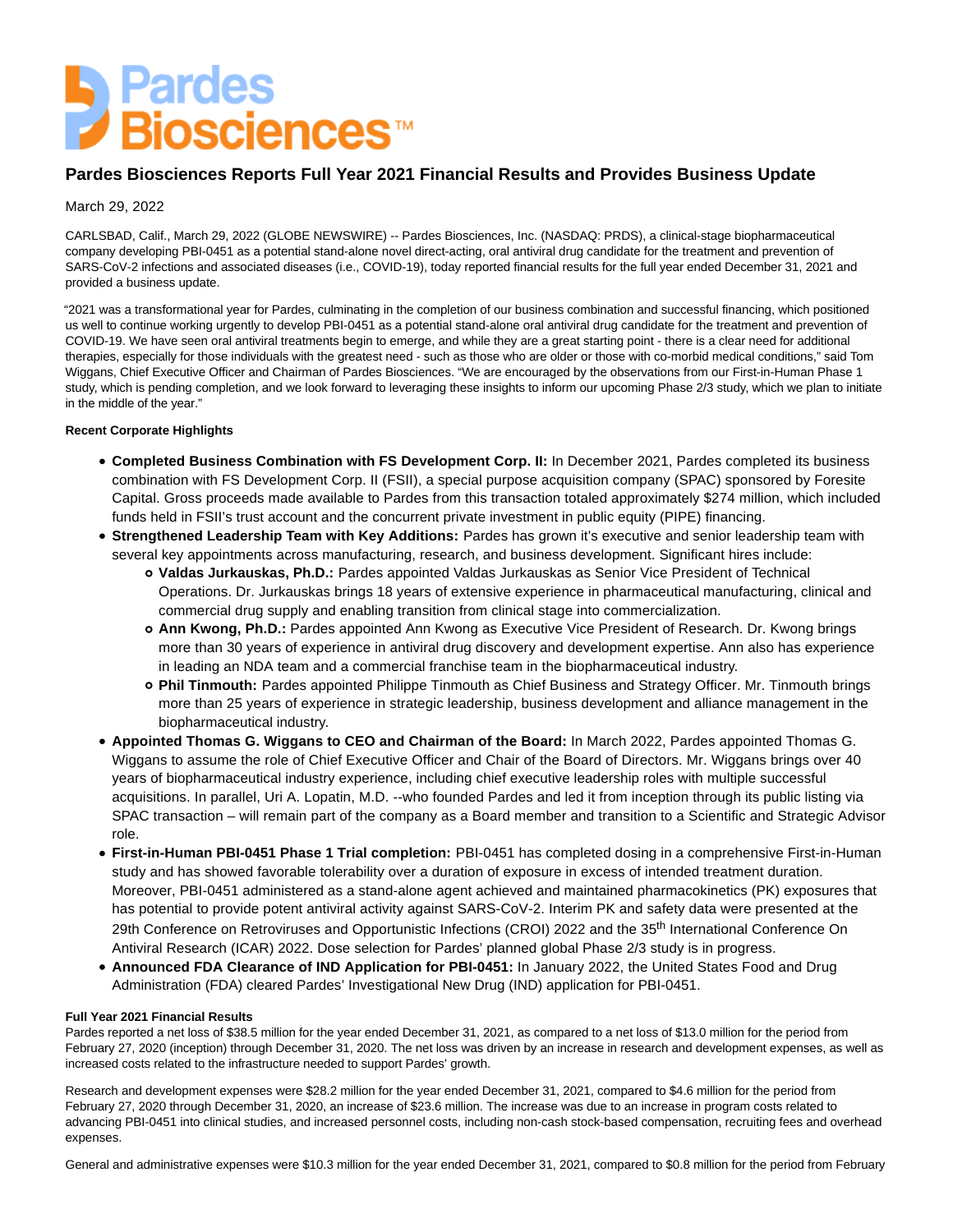# **Landes**<br>De Biosciences™

# **Pardes Biosciences Reports Full Year 2021 Financial Results and Provides Business Update**

# March 29, 2022

CARLSBAD, Calif., March 29, 2022 (GLOBE NEWSWIRE) -- Pardes Biosciences, Inc. (NASDAQ: PRDS), a clinical-stage biopharmaceutical company developing PBI-0451 as a potential stand-alone novel direct-acting, oral antiviral drug candidate for the treatment and prevention of SARS-CoV-2 infections and associated diseases (i.e., COVID-19), today reported financial results for the full year ended December 31, 2021 and provided a business update.

"2021 was a transformational year for Pardes, culminating in the completion of our business combination and successful financing, which positioned us well to continue working urgently to develop PBI-0451 as a potential stand-alone oral antiviral drug candidate for the treatment and prevention of COVID-19. We have seen oral antiviral treatments begin to emerge, and while they are a great starting point - there is a clear need for additional therapies, especially for those individuals with the greatest need - such as those who are older or those with co-morbid medical conditions," said Tom Wiggans, Chief Executive Officer and Chairman of Pardes Biosciences. "We are encouraged by the observations from our First-in-Human Phase 1 study, which is pending completion, and we look forward to leveraging these insights to inform our upcoming Phase 2/3 study, which we plan to initiate in the middle of the year."

### **Recent Corporate Highlights**

- **Completed Business Combination with FS Development Corp. II:** In December 2021, Pardes completed its business combination with FS Development Corp. II (FSII), a special purpose acquisition company (SPAC) sponsored by Foresite Capital. Gross proceeds made available to Pardes from this transaction totaled approximately \$274 million, which included funds held in FSII's trust account and the concurrent private investment in public equity (PIPE) financing.
- **Strengthened Leadership Team with Key Additions:** Pardes has grown it's executive and senior leadership team with several key appointments across manufacturing, research, and business development. Significant hires include:
	- **Valdas Jurkauskas, Ph.D.:** Pardes appointed Valdas Jurkauskas as Senior Vice President of Technical Operations. Dr. Jurkauskas brings 18 years of extensive experience in pharmaceutical manufacturing, clinical and commercial drug supply and enabling transition from clinical stage into commercialization.
	- **Ann Kwong, Ph.D.:** Pardes appointed Ann Kwong as Executive Vice President of Research. Dr. Kwong brings more than 30 years of experience in antiviral drug discovery and development expertise. Ann also has experience in leading an NDA team and a commercial franchise team in the biopharmaceutical industry.
	- **Phil Tinmouth:** Pardes appointed Philippe Tinmouth as Chief Business and Strategy Officer. Mr. Tinmouth brings more than 25 years of experience in strategic leadership, business development and alliance management in the biopharmaceutical industry.
- **Appointed Thomas G. Wiggans to CEO and Chairman of the Board:** In March 2022, Pardes appointed Thomas G. Wiggans to assume the role of Chief Executive Officer and Chair of the Board of Directors. Mr. Wiggans brings over 40 years of biopharmaceutical industry experience, including chief executive leadership roles with multiple successful acquisitions. In parallel, Uri A. Lopatin, M.D. --who founded Pardes and led it from inception through its public listing via SPAC transaction – will remain part of the company as a Board member and transition to a Scientific and Strategic Advisor role.
- **First-in-Human PBI-0451 Phase 1 Trial completion:** PBI-0451 has completed dosing in a comprehensive First-in-Human study and has showed favorable tolerability over a duration of exposure in excess of intended treatment duration. Moreover, PBI-0451 administered as a stand-alone agent achieved and maintained pharmacokinetics (PK) exposures that has potential to provide potent antiviral activity against SARS-CoV-2. Interim PK and safety data were presented at the 29th Conference on Retroviruses and Opportunistic Infections (CROI) 2022 and the 35<sup>th</sup> International Conference On Antiviral Research (ICAR) 2022. Dose selection for Pardes' planned global Phase 2/3 study is in progress.
- **Announced FDA Clearance of IND Application for PBI-0451:** In January 2022, the United States Food and Drug Administration (FDA) cleared Pardes' Investigational New Drug (IND) application for PBI-0451.

#### **Full Year 2021 Financial Results**

Pardes reported a net loss of \$38.5 million for the year ended December 31, 2021, as compared to a net loss of \$13.0 million for the period from February 27, 2020 (inception) through December 31, 2020. The net loss was driven by an increase in research and development expenses, as well as increased costs related to the infrastructure needed to support Pardes' growth.

Research and development expenses were \$28.2 million for the year ended December 31, 2021, compared to \$4.6 million for the period from February 27, 2020 through December 31, 2020, an increase of \$23.6 million. The increase was due to an increase in program costs related to advancing PBI-0451 into clinical studies, and increased personnel costs, including non-cash stock-based compensation, recruiting fees and overhead expenses.

General and administrative expenses were \$10.3 million for the year ended December 31, 2021, compared to \$0.8 million for the period from February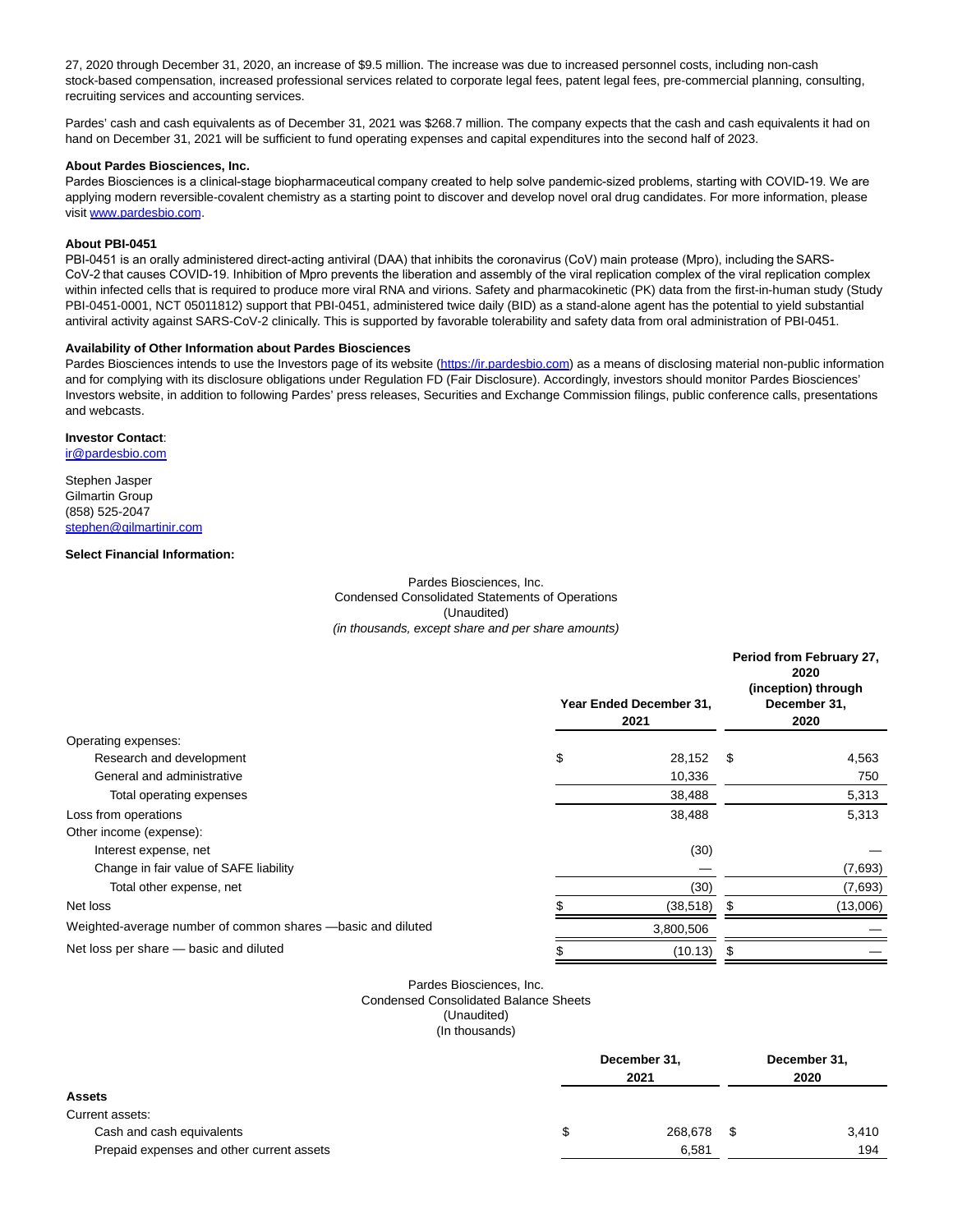27, 2020 through December 31, 2020, an increase of \$9.5 million. The increase was due to increased personnel costs, including non-cash stock-based compensation, increased professional services related to corporate legal fees, patent legal fees, pre-commercial planning, consulting, recruiting services and accounting services.

Pardes' cash and cash equivalents as of December 31, 2021 was \$268.7 million. The company expects that the cash and cash equivalents it had on hand on December 31, 2021 will be sufficient to fund operating expenses and capital expenditures into the second half of 2023.

#### **About Pardes Biosciences, Inc.**

Pardes Biosciences is a clinical-stage biopharmaceutical company created to help solve pandemic-sized problems, starting with COVID-19. We are applying modern reversible-covalent chemistry as a starting point to discover and develop novel oral drug candidates. For more information, please visit [www.pardesbio.com.](https://www.globenewswire.com/Tracker?data=8iWChjKegrIaX4YfdzlDQuc3KOVR5CA-ACpfnM5Iw839s49jZfbf_TkwBvR3AGrrQiW3WhxxJn6CXgF8hXIIzA==)

#### **About PBI-0451**

PBI-0451 is an orally administered direct-acting antiviral (DAA) that inhibits the coronavirus (CoV) main protease (Mpro), including the SARS-CoV-2 that causes COVID-19. Inhibition of Mpro prevents the liberation and assembly of the viral replication complex of the viral replication complex within infected cells that is required to produce more viral RNA and virions. Safety and pharmacokinetic (PK) data from the first-in-human study (Study PBI-0451-0001, NCT 05011812) support that PBI-0451, administered twice daily (BID) as a stand-alone agent has the potential to yield substantial antiviral activity against SARS-CoV-2 clinically. This is supported by favorable tolerability and safety data from oral administration of PBI-0451.

#### **Availability of Other Information about Pardes Biosciences**

Pardes Biosciences intends to use the Investors page of its website [\(https://ir.pardesbio.com\)](https://www.globenewswire.com/Tracker?data=C8-57GgGpZYT0Xs7hRja-jv5HjPq09g7jKfkps-lyKYlJZ-0dXlkE95i21k_pcN8NW2wDMvURkSKDnJwVtRjpH-0fKn2bsypANAoIxVLc0w=) as a means of disclosing material non-public information and for complying with its disclosure obligations under Regulation FD (Fair Disclosure). Accordingly, investors should monitor Pardes Biosciences' Investors website, in addition to following Pardes' press releases, Securities and Exchange Commission filings, public conference calls, presentations and webcasts.

#### **Investor Contact**:

[ir@pardesbio.com](https://www.globenewswire.com/Tracker?data=T4aYn3ehHWySq3l6tywucsWoHGjQzOn7X-QQyhkh8ZM8-eG_rGMIZ5ZsTkDALZ0tEmZPD3i7w9Up9f50Y7cJIw==)

Stephen Jasper Gilmartin Group (858) 525-2047 [stephen@gilmartinir.com](https://www.globenewswire.com/Tracker?data=Pr7WDFRDMi-XPR8OFDXvceg3q2HglQzPgAb_OgWzdOqydpKnLQudxsFXQi7v9gHxVNAukb4g7gzL44q8KymeElePABjlcLoXwKmSrKH3YYs=)

#### **Select Financial Information:**

Pardes Biosciences, Inc. Condensed Consolidated Statements of Operations (Unaudited) (in thousands, except share and per share amounts)

|                                                               | Year Ended December 31,<br>2021 | Period from February 27,<br>2020<br>(inception) through<br>December 31,<br>2020 |          |  |
|---------------------------------------------------------------|---------------------------------|---------------------------------------------------------------------------------|----------|--|
| Operating expenses:                                           |                                 |                                                                                 |          |  |
| Research and development                                      | \$<br>28,152                    | - \$                                                                            | 4,563    |  |
| General and administrative                                    | 10,336                          |                                                                                 | 750      |  |
| Total operating expenses                                      | 38,488                          |                                                                                 | 5,313    |  |
| Loss from operations                                          | 38,488                          |                                                                                 | 5,313    |  |
| Other income (expense):                                       |                                 |                                                                                 |          |  |
| Interest expense, net                                         | (30)                            |                                                                                 |          |  |
| Change in fair value of SAFE liability                        |                                 |                                                                                 | (7,693)  |  |
| Total other expense, net                                      | (30)                            |                                                                                 | (7,693)  |  |
| Net loss                                                      | (38, 518)                       | \$                                                                              | (13,006) |  |
| Weighted-average number of common shares -- basic and diluted | 3,800,506                       |                                                                                 |          |  |
| Net loss per share - basic and diluted                        | \$<br>(10.13)                   | \$                                                                              |          |  |

# Pardes Biosciences, Inc.

Condensed Consolidated Balance Sheets

(Unaudited)

(In thousands)

|                                           | December 31,<br>2021 |      | December 31,<br>2020 |  |
|-------------------------------------------|----------------------|------|----------------------|--|
| <b>Assets</b>                             |                      |      |                      |  |
| Current assets:                           |                      |      |                      |  |
| Cash and cash equivalents                 | 268,678              | - \$ | 3.410                |  |
| Prepaid expenses and other current assets | 6,581                |      | 194                  |  |
|                                           |                      |      |                      |  |